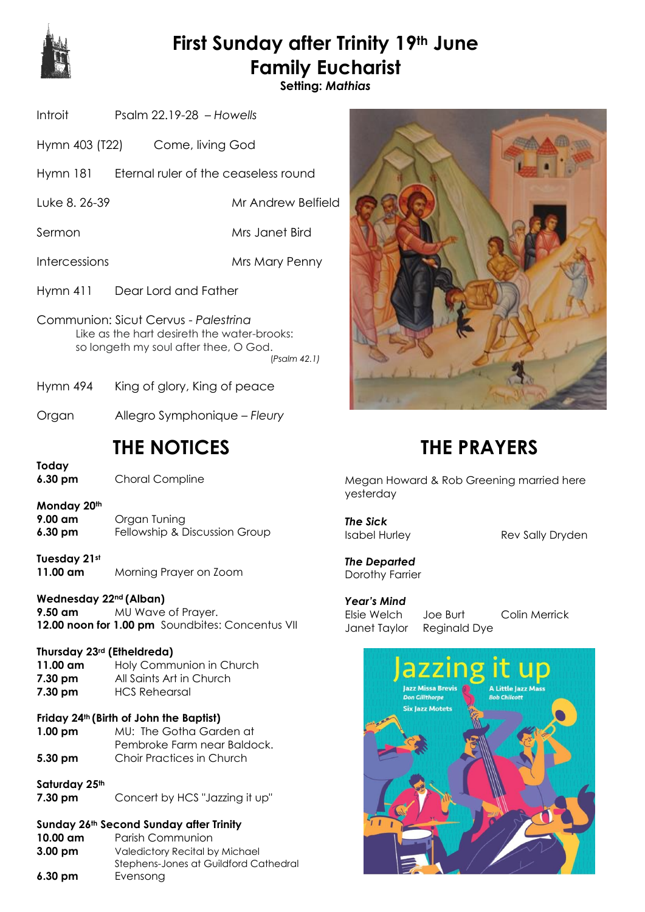

# **First Sunday after Trinity 19th June Family Eucharist**

**Setting:** *Mathias*

| Introit | Psalm $22.19-28$ - Howells |  |
|---------|----------------------------|--|
|         |                            |  |

- Hymn 403 (T22) Come, living God
- Hymn 181 Eternal ruler of the ceaseless round
- Luke 8. 26-39 Mr Andrew Belfield
- Sermon Mrs Janet Bird
- Intercessions Mrs Mary Penny
- Hymn 411 Dear Lord and Father
- Communion: Sicut Cervus *Palestrina* Like as the hart desireth the water-brooks: so longeth my soul after thee, O God. (*Psalm 42.1)*
- Hymn 494 King of glory, King of peace
- Organ Allegro Symphonique *Fleury*

## **THE NOTICES**

**Today**

**6.30 pm** Choral Compline

**Monday 20th**

- **9.00 am** Organ Tuning **6.30 pm** Fellowship & Discussion Group
- **Tuesday 21st 11.00 am** Morning Prayer on Zoom

#### **Wednesday 22nd (Alban)**

**9.50 am** MU Wave of Prayer. 12.00 noon for 1.00 pm Soundbites: Concentus VII

#### **Thursday 23rd (Etheldreda)**

- **11.00 am** Holy Communion in Church **7.30 pm** All Saints Art in Church **7.30 pm** HCS Rehearsal
- **Friday 24th (Birth of John the Baptist)**
- **1.00 pm** MU: The Gotha Garden at Pembroke Farm near Baldock. **5.30 pm** Choir Practices in Church
- **Saturday 25th**
- **7.30 pm** Concert by HCS "Jazzing it up"

#### **Sunday 26th Second Sunday after Trinity**

| $10.00 \text{ am}$ | Parish Communion                      |
|--------------------|---------------------------------------|
| $3.00 \text{ pm}$  | Valedictory Recital by Michael        |
|                    | Stephens-Jones at Guildford Cathedral |
| $6.30 \text{ pm}$  | Evensong                              |



## **THE PRAYERS**

Megan Howard & Rob Greening married here yesterday

*The Sick*

Isabel Hurley Rev Sally Dryden

*The Departed* Dorothy Farrier

*Year's Mind* Elsie Welch Joe Burt Colin Merrick Janet Taylor Reginald Dye